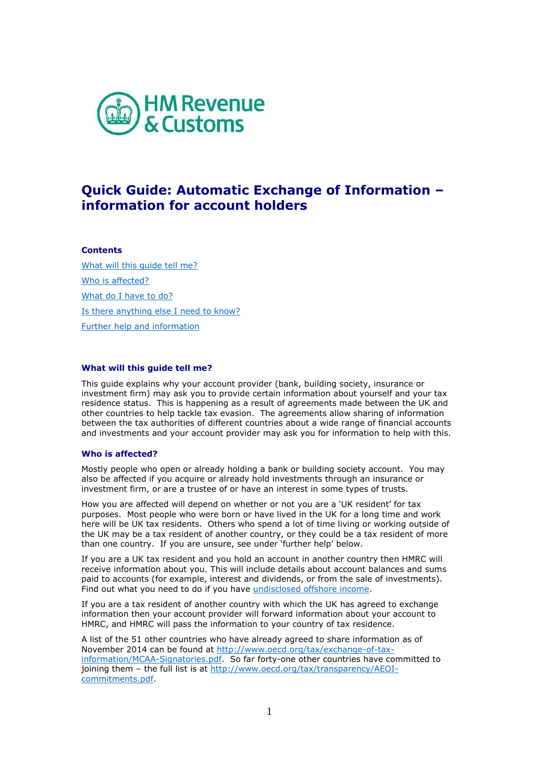

# **Quick Guide: Automatic Exchange of Information – information for account holders**

# **Contents**

[What will this guide tell me?](#page-0-0) [Who is affected?](#page-0-1) [What do I have to do?](#page-1-0) [Is there anything else I need to know?](#page-1-1) Further help [and information](#page-1-2)

# <span id="page-0-0"></span>**What will this guide tell me?**

This guide explains why your account provider (bank, building society, insurance or investment firm) may ask you to provide certain information about yourself and your tax residence status. This is happening as a result of agreements made between the UK and other countries to help tackle tax evasion. The agreements allow sharing of information between the tax authorities of different countries about a wide range of financial accounts and investments and your account provider may ask you for information to help with this.

## <span id="page-0-1"></span>**Who is affected?**

Mostly people who open or already holding a bank or building society account. You may also be affected if you acquire or already hold investments through an insurance or investment firm, or are a trustee of or have an interest in some types of trusts.

How you are affected will depend on whether or not you are a 'UK resident' for tax purposes. Most people who were born or have lived in the UK for a long time and work here will be UK tax residents. Others who spend a lot of time living or working outside of the UK may be a tax resident of another country, or they could be a tax resident of more than one country. If you are unsure, see under 'further help' below.

If you are a UK tax resident and you hold an account in another country then HMRC will receive information about you. This will include details about account balances and sums paid to accounts (for example, interest and dividends, or from the sale of investments). Find out what you need to do if you have [undisclosed offshore income.](http://www.hmrc.gov.uk/offshoredisclosure/undeclared-income-offshore.htm)

If you are a tax resident of another country with which the UK has agreed to exchange information then your account provider will forward information about your account to HMRC, and HMRC will pass the information to your country of tax residence.

A list of the 51 other countries who have already agreed to share information as of November 2014 can be found at [http://www.oecd.org/tax/exchange-of-tax](http://www.oecd.org/tax/exchange-of-tax-information/MCAA-Signatories.pdf)[information/MCAA-Signatories.pdf.](http://www.oecd.org/tax/exchange-of-tax-information/MCAA-Signatories.pdf) So far forty-one other countries have committed to joining them – the full list is at [http://www.oecd.org/tax/transparency/AEOI](http://www.oecd.org/tax/transparency/AEOI-commitments.pdf)[commitments.pdf.](http://www.oecd.org/tax/transparency/AEOI-commitments.pdf)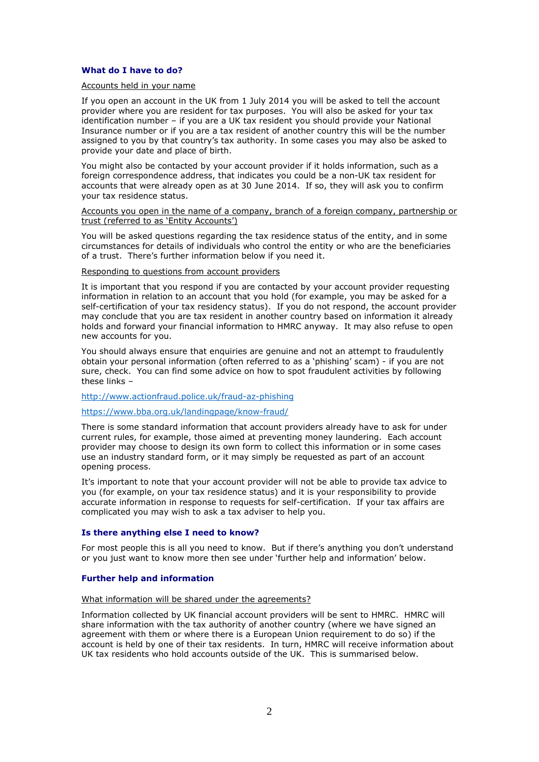## <span id="page-1-0"></span>**What do I have to do?**

#### Accounts held in your name

If you open an account in the UK from 1 July 2014 you will be asked to tell the account provider where you are resident for tax purposes. You will also be asked for your tax identification number – if you are a UK tax resident you should provide your National Insurance number or if you are a tax resident of another country this will be the number assigned to you by that country's tax authority. In some cases you may also be asked to provide your date and place of birth.

You might also be contacted by your account provider if it holds information, such as a foreign correspondence address, that indicates you could be a non-UK tax resident for accounts that were already open as at 30 June 2014. If so, they will ask you to confirm your tax residence status.

#### Accounts you open in the name of a company, branch of a foreign company, partnership or trust (referred to as 'Entity Accounts')

You will be asked questions regarding the tax residence status of the entity, and in some circumstances for details of individuals who control the entity or who are the beneficiaries of a trust. There's further information below if you need it.

#### Responding to questions from account providers

It is important that you respond if you are contacted by your account provider requesting information in relation to an account that you hold (for example, you may be asked for a self-certification of your tax residency status). If you do not respond, the account provider may conclude that you are tax resident in another country based on information it already holds and forward your financial information to HMRC anyway. It may also refuse to open new accounts for you.

You should always ensure that enquiries are genuine and not an attempt to fraudulently obtain your personal information (often referred to as a 'phishing' scam) - if you are not sure, check. You can find some advice on how to spot fraudulent activities by following these links –

# <http://www.actionfraud.police.uk/fraud-az-phishing>

# <https://www.bba.org.uk/landingpage/know-fraud/>

There is some standard information that account providers already have to ask for under current rules, for example, those aimed at preventing money laundering. Each account provider may choose to design its own form to collect this information or in some cases use an industry standard form, or it may simply be requested as part of an account opening process.

It's important to note that your account provider will not be able to provide tax advice to you (for example, on your tax residence status) and it is your responsibility to provide accurate information in response to requests for self-certification. If your tax affairs are complicated you may wish to ask a tax adviser to help you.

## <span id="page-1-1"></span>**Is there anything else I need to know?**

For most people this is all you need to know. But if there's anything you don't understand or you just want to know more then see under 'further help and information' below.

## <span id="page-1-2"></span>**Further help and information**

## What information will be shared under the agreements?

Information collected by UK financial account providers will be sent to HMRC. HMRC will share information with the tax authority of another country (where we have signed an agreement with them or where there is a European Union requirement to do so) if the account is held by one of their tax residents. In turn, HMRC will receive information about UK tax residents who hold accounts outside of the UK. This is summarised below.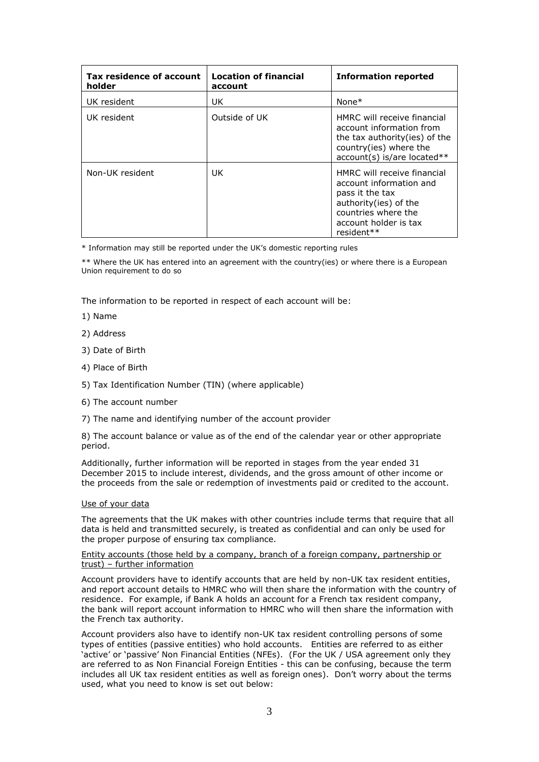| Tax residence of account<br>holder | <b>Location of financial</b><br>account | <b>Information reported</b>                                                                                                                                       |
|------------------------------------|-----------------------------------------|-------------------------------------------------------------------------------------------------------------------------------------------------------------------|
| UK resident                        | UK                                      | None $*$                                                                                                                                                          |
| UK resident                        | Outside of UK                           | HMRC will receive financial<br>account information from<br>the tax authority (ies) of the<br>country(ies) where the<br>$account(s)$ is/are located**              |
| Non-UK resident                    | UK.                                     | HMRC will receive financial<br>account information and<br>pass it the tax<br>authority (ies) of the<br>countries where the<br>account holder is tax<br>resident** |

\* Information may still be reported under the UK's domestic reporting rules

\*\* Where the UK has entered into an agreement with the country(ies) or where there is a European Union requirement to do so

The information to be reported in respect of each account will be:

- 1) Name
- 2) Address
- 3) Date of Birth
- 4) Place of Birth
- 5) Tax Identification Number (TIN) (where applicable)
- 6) The account number
- 7) The name and identifying number of the account provider

8) The account balance or value as of the end of the calendar year or other appropriate period.

Additionally, further information will be reported in stages from the year ended 31 December 2015 to include interest, dividends, and the gross amount of other income or the proceeds from the sale or redemption of investments paid or credited to the account.

# Use of your data

The agreements that the UK makes with other countries include terms that require that all data is held and transmitted securely, is treated as confidential and can only be used for the proper purpose of ensuring tax compliance.

## Entity accounts (those held by a company, branch of a foreign company, partnership or trust) – further information

Account providers have to identify accounts that are held by non-UK tax resident entities, and report account details to HMRC who will then share the information with the country of residence. For example, if Bank A holds an account for a French tax resident company, the bank will report account information to HMRC who will then share the information with the French tax authority.

Account providers also have to identify non-UK tax resident controlling persons of some types of entities (passive entities) who hold accounts. Entities are referred to as either 'active' or 'passive' Non Financial Entities (NFEs). (For the UK / USA agreement only they are referred to as Non Financial Foreign Entities - this can be confusing, because the term includes all UK tax resident entities as well as foreign ones). Don't worry about the terms used, what you need to know is set out below: